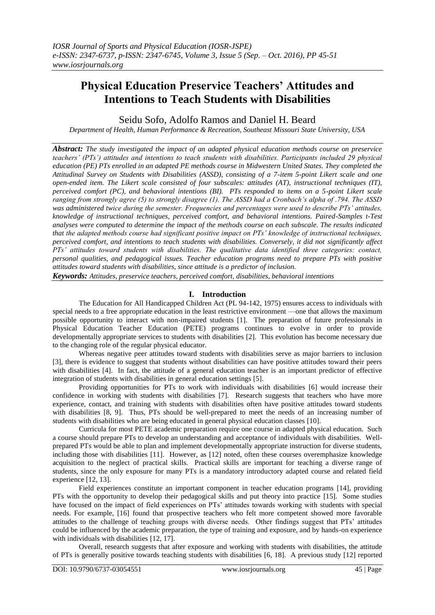# **Physical Education Preservice Teachers' Attitudes and Intentions to Teach Students with Disabilities**

Seidu Sofo, Adolfo Ramos and Daniel H. Beard

*Department of Health, Human Performance & Recreation, Southeast Missouri State University, USA*

*Abstract: The study investigated the impact of an adapted physical education methods course on preservice teachers' (PTs') attitudes and intentions to teach students with disabilities. Participants included 29 physical education (PE) PTs enrolled in an adapted PE methods course in Midwestern United States. They completed the Attitudinal Survey on Students with Disabilities (ASSD), consisting of a 7-item 5-point Likert scale and one open-ended item. The Likert scale consisted of four subscales: attitudes (AT), instructional techniques (IT), perceived comfort (PC), and behavioral intentions (BI). PTs responded to items on a 5-point Likert scale ranging from strongly agree (5) to strongly disagree (1). The ASSD had a Cronbach's alpha of .794. The ASSD was administered twice during the semester. Frequencies and percentages were used to describe PTs' attitudes, knowledge of instructional techniques, perceived comfort, and behavioral intentions. Paired-Samples t-Test analyses were computed to determine the impact of the methods course on each subscale. The results indicated that the adapted methods course had significant positive impact on PTs' knowledge of instructional techniques, perceived comfort, and intentions to teach students with disabilities. Conversely, it did not significantly affect PTs' attitudes toward students with disabilities. The qualitative data identified three categories: contact, personal qualities, and pedagogical issues. Teacher education programs need to prepare PTs with positive attitudes toward students with disabilities, since attitude is a predictor of inclusion.*

*Keywords: Attitudes, preservice teachers, perceived comfort, disabilities, behavioral intentions*

# **I. Introduction**

The Education for All Handicapped Children Act (PL 94-142, 1975) ensures access to individuals with special needs to a free appropriate education in the least restrictive environment —one that allows the maximum possible opportunity to interact with non-impaired students [1]. The preparation of future professionals in Physical Education Teacher Education (PETE) programs continues to evolve in order to provide developmentally appropriate services to students with disabilities [2]. This evolution has become necessary due to the changing role of the regular physical educator.

Whereas negative peer attitudes toward students with disabilities serve as major barriers to inclusion [3], there is evidence to suggest that students without disabilities can have positive attitudes toward their peers with disabilities [4]. In fact, the attitude of a general education teacher is an important predictor of effective integration of students with disabilities in general education settings [5].

Providing opportunities for PTs to work with individuals with disabilities [6] would increase their confidence in working with students with disabilities [7]. Research suggests that teachers who have more experience, contact, and training with students with disabilities often have positive attitudes toward students with disabilities [8, 9]. Thus, PTs should be well-prepared to meet the needs of an increasing number of students with disabilities who are being educated in general physical education classes [10].

Curricula for most PETE academic preparation require one course in adapted physical education. Such a course should prepare PTs to develop an understanding and acceptance of individuals with disabilities. Wellprepared PTs would be able to plan and implement developmentally appropriate instruction for diverse students, including those with disabilities [11]. However, as [12] noted, often these courses overemphasize knowledge acquisition to the neglect of practical skills. Practical skills are important for teaching a diverse range of students, since the only exposure for many PTs is a mandatory introductory adapted course and related field experience [12, 13].

Field experiences constitute an important component in teacher education programs [14], providing PTs with the opportunity to develop their pedagogical skills and put theory into practice [15]. Some studies have focused on the impact of field experiences on PTs' attitudes towards working with students with special needs. For example, [16] found that prospective teachers who felt more competent showed more favorable attitudes to the challenge of teaching groups with diverse needs. Other findings suggest that PTs' attitudes could be influenced by the academic preparation, the type of training and exposure, and by hands-on experience with individuals with disabilities [12, 17].

Overall, research suggests that after exposure and working with students with disabilities, the attitude of PTs is generally positive towards teaching students with disabilities [6, 18]. A previous study [12] reported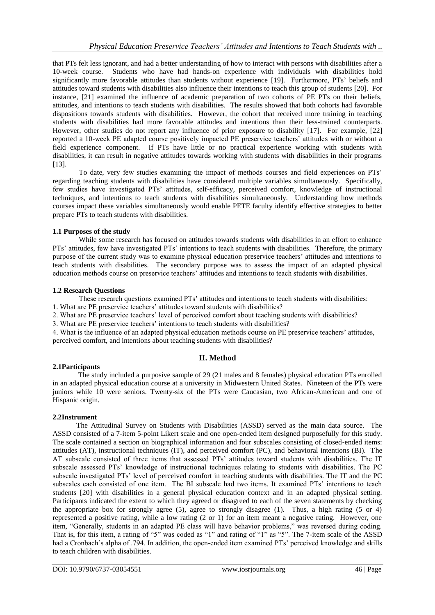that PTs felt less ignorant, and had a better understanding of how to interact with persons with disabilities after a 10-week course. Students who have had hands-on experience with individuals with disabilities hold significantly more favorable attitudes than students without experience [19]. Furthermore, PTs' beliefs and attitudes toward students with disabilities also influence their intentions to teach this group of students [20]. For instance, [21] examined the influence of academic preparation of two cohorts of PE PTs on their beliefs, attitudes, and intentions to teach students with disabilities. The results showed that both cohorts had favorable dispositions towards students with disabilities. However, the cohort that received more training in teaching students with disabilities had more favorable attitudes and intentions than their less-trained counterparts. However, other studies do not report any influence of prior exposure to disability [17]. For example, [22] reported a 10-week PE adapted course positively impacted PE preservice teachers' attitudes with or without a field experience component. If PTs have little or no practical experience working with students with disabilities, it can result in negative attitudes towards working with students with disabilities in their programs [13].

To date, very few studies examining the impact of methods courses and field experiences on PTs' regarding teaching students with disabilities have considered multiple variables simultaneously. Specifically, few studies have investigated PTs' attitudes, self-efficacy, perceived comfort, knowledge of instructional techniques, and intentions to teach students with disabilities simultaneously. Understanding how methods courses impact these variables simultaneously would enable PETE faculty identify effective strategies to better prepare PTs to teach students with disabilities.

# **1.1 Purposes of the study**

While some research has focused on attitudes towards students with disabilities in an effort to enhance PTs' attitudes, few have investigated PTs' intentions to teach students with disabilities. Therefore, the primary purpose of the current study was to examine physical education preservice teachers' attitudes and intentions to teach students with disabilities. The secondary purpose was to assess the impact of an adapted physical education methods course on preservice teachers' attitudes and intentions to teach students with disabilities.

## **1.2 Research Questions**

These research questions examined PTs' attitudes and intentions to teach students with disabilities:

1. What are PE preservice teachers' attitudes toward students with disabilities?

2. What are PE preservice teachers' level of perceived comfort about teaching students with disabilities?

3. What are PE preservice teachers' intentions to teach students with disabilities?

4. What is the influence of an adapted physical education methods course on PE preservice teachers' attitudes, perceived comfort, and intentions about teaching students with disabilities?

# **II. Method**

# **2.1Participants**

 The study included a purposive sample of 29 (21 males and 8 females) physical education PTs enrolled in an adapted physical education course at a university in Midwestern United States. Nineteen of the PTs were juniors while 10 were seniors. Twenty-six of the PTs were Caucasian, two African-American and one of Hispanic origin.

# **2.2Instrument**

 The Attitudinal Survey on Students with Disabilities (ASSD) served as the main data source. The ASSD consisted of a 7-item 5-point Likert scale and one open-ended item designed purposefully for this study. The scale contained a section on biographical information and four subscales consisting of closed-ended items: attitudes (AT), instructional techniques (IT), and perceived comfort (PC), and behavioral intentions (BI). The AT subscale consisted of three items that assessed PTs' attitudes toward students with disabilities. The IT subscale assessed PTs' knowledge of instructional techniques relating to students with disabilities. The PC subscale investigated PTs' level of perceived comfort in teaching students with disabilities. The IT and the PC subscales each consisted of one item. The BI subscale had two items. It examined PTs' intentions to teach students [20] with disabilities in a general physical education context and in an adapted physical setting. Participants indicated the extent to which they agreed or disagreed to each of the seven statements by checking the appropriate box for strongly agree (5), agree to strongly disagree (1). Thus, a high rating (5 or 4) represented a positive rating, while a low rating (2 or 1) for an item meant a negative rating. However, one item, "Generally, students in an adapted PE class will have behavior problems," was reversed during coding. That is, for this item, a rating of "5" was coded as "1" and rating of "1" as "5". The 7-item scale of the ASSD had a Cronbach's alpha of .794. In addition, the open-ended item examined PTs' perceived knowledge and skills to teach children with disabilities.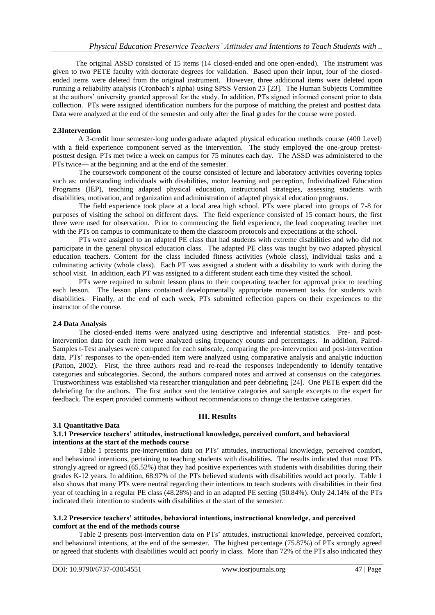The original ASSD consisted of 15 items (14 closed-ended and one open-ended). The instrument was given to two PETE faculty with doctorate degrees for validation. Based upon their input, four of the closedended items were deleted from the original instrument. However, three additional items were deleted upon running a reliability analysis (Cronbach's alpha) using SPSS Version 23 [23]. The Human Subjects Committee at the authors' university granted approval for the study. In addition, PTs signed informed consent prior to data collection. PTs were assigned identification numbers for the purpose of matching the pretest and posttest data. Data were analyzed at the end of the semester and only after the final grades for the course were posted.

#### **2.3Intervention**

 A 3-credit hour semester-long undergraduate adapted physical education methods course (400 Level) with a field experience component served as the intervention. The study employed the one-group pretestposttest design. PTs met twice a week on campus for 75 minutes each day. The ASSD was administered to the PTs twice— at the beginning and at the end of the semester.

The coursework component of the course consisted of lecture and laboratory activities covering topics such as: understanding individuals with disabilities, motor learning and perception, Individualized Education Programs (IEP), teaching adapted physical education, instructional strategies, assessing students with disabilities, motivation, and organization and administration of adapted physical education programs.

The field experience took place at a local area high school. PTs were placed into groups of 7-8 for purposes of visiting the school on different days. The field experience consisted of 15 contact hours, the first three were used for observation. Prior to commencing the field experience, the lead cooperating teacher met with the PTs on campus to communicate to them the classroom protocols and expectations at the school.

PTs were assigned to an adapted PE class that had students with extreme disabilities and who did not participate in the general physical education class. The adapted PE class was taught by two adapted physical education teachers. Content for the class included fitness activities (whole class), individual tasks and a culminating activity (whole class). Each PT was assigned a student with a disability to work with during the school visit. In addition, each PT was assigned to a different student each time they visited the school.

PTs were required to submit lesson plans to their cooperating teacher for approval prior to teaching each lesson. The lesson plans contained developmentally appropriate movement tasks for students with disabilities. Finally, at the end of each week, PTs submitted reflection papers on their experiences to the instructor of the course.

## **2.4 Data Analysis**

The closed-ended items were analyzed using descriptive and inferential statistics. Pre- and postintervention data for each item were analyzed using frequency counts and percentages. In addition, Paired-Samples t-Test analyses were computed for each subscale, comparing the pre-intervention and post-intervention data. PTs' responses to the open-ended item were analyzed using comparative analysis and analytic induction (Patton, 2002). First, the three authors read and re-read the responses independently to identify tentative categories and subcategories. Second, the authors compared notes and arrived at consensus on the categories. Trustworthiness was established via researcher triangulation and peer debriefing [24]. One PETE expert did the debriefing for the authors. The first author sent the tentative categories and sample excerpts to the expert for feedback. The expert provided comments without recommendations to change the tentative categories.

# **III. Results**

## **3.1 Quantitative Data**

#### **3.1.1 Preservice teachers' attitudes, instructional knowledge, perceived comfort, and behavioral intentions at the start of the methods course**

Table 1 presents pre-intervention data on PTs' attitudes, instructional knowledge, perceived comfort, and behavioral intentions, pertaining to teaching students with disabilities. The results indicated that most PTs strongly agreed or agreed (65.52%) that they had positive experiences with students with disabilities during their grades K-12 years. In addition, 68.97% of the PTs believed students with disabilities would act poorly. Table 1 also shows that many PTs were neutral regarding their intentions to teach students with disabilities in their first year of teaching in a regular PE class (48.28%) and in an adapted PE setting (50.84%). Only 24.14% of the PTs indicated their intention to students with disabilities at the start of the semester.

## **3.1.2 Preservice teachers' attitudes, behavioral intentions, instructional knowledge, and perceived comfort at the end of the methods course**

Table 2 presents post-intervention data on PTs' attitudes, instructional knowledge, perceived comfort, and behavioral intentions, at the end of the semester. The highest percentage (75.87%) of PTs strongly agreed or agreed that students with disabilities would act poorly in class. More than 72% of the PTs also indicated they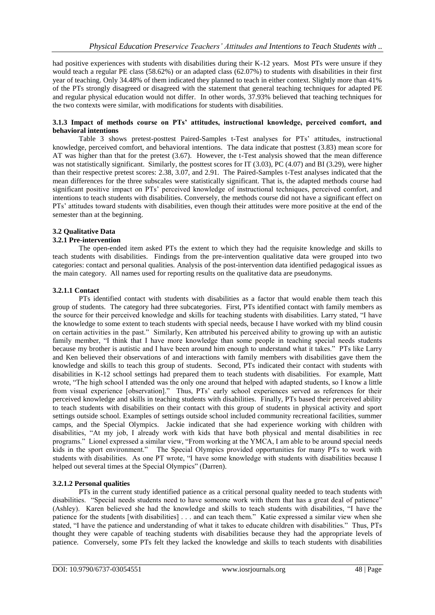had positive experiences with students with disabilities during their K-12 years. Most PTs were unsure if they would teach a regular PE class (58.62%) or an adapted class (62.07%) to students with disabilities in their first year of teaching. Only 34.48% of them indicated they planned to teach in either context. Slightly more than 41% of the PTs strongly disagreed or disagreed with the statement that general teaching techniques for adapted PE and regular physical education would not differ. In other words, 37.93% believed that teaching techniques for the two contexts were similar, with modifications for students with disabilities.

## **3.1.3 Impact of methods course on PTs' attitudes, instructional knowledge, perceived comfort, and behavioral intentions**

Table 3 shows pretest-posttest Paired-Samples t-Test analyses for PTs' attitudes, instructional knowledge, perceived comfort, and behavioral intentions. The data indicate that posttest (3.83) mean score for AT was higher than that for the pretest (3.67). However, the t-Test analysis showed that the mean difference was not statistically significant. Similarly, the posttest scores for IT (3.03), PC (4.07) and BI (3.29), were higher than their respective pretest scores: 2.38, 3.07, and 2.91. The Paired-Samples t-Test analyses indicated that the mean differences for the three subscales were statistically significant. That is, the adapted methods course had significant positive impact on PTs' perceived knowledge of instructional techniques, perceived comfort, and intentions to teach students with disabilities. Conversely, the methods course did not have a significant effect on PTs' attitudes toward students with disabilities, even though their attitudes were more positive at the end of the semester than at the beginning.

# **3.2 Qualitative Data**

## **3.2.1 Pre-intervention**

The open-ended item asked PTs the extent to which they had the requisite knowledge and skills to teach students with disabilities. Findings from the pre-intervention qualitative data were grouped into two categories: contact and personal qualities. Analysis of the post-intervention data identified pedagogical issues as the main category. All names used for reporting results on the qualitative data are pseudonyms.

## **3.2.1.1 Contact**

PTs identified contact with students with disabilities as a factor that would enable them teach this group of students. The category had three subcategories. First, PTs identified contact with family members as the source for their perceived knowledge and skills for teaching students with disabilities. Larry stated, "I have the knowledge to some extent to teach students with special needs, because I have worked with my blind cousin on certain activities in the past." Similarly, Ken attributed his perceived ability to growing up with an autistic family member, "I think that I have more knowledge than some people in teaching special needs students because my brother is autistic and I have been around him enough to understand what it takes." PTs like Larry and Ken believed their observations of and interactions with family members with disabilities gave them the knowledge and skills to teach this group of students. Second, PTs indicated their contact with students with disabilities in K-12 school settings had prepared them to teach students with disabilities. For example, Matt wrote, "The high school I attended was the only one around that helped with adapted students, so I know a little from visual experience [observation]." Thus, PTs' early school experiences served as references for their perceived knowledge and skills in teaching students with disabilities. Finally, PTs based their perceived ability to teach students with disabilities on their contact with this group of students in physical activity and sport settings outside school. Examples of settings outside school included community recreational facilities, summer camps, and the Special Olympics. Jackie indicated that she had experience working with children with disabilities, ―At my job, I already work with kids that have both physical and mental disabilities in rec programs." Lionel expressed a similar view, "From working at the YMCA, I am able to be around special needs kids in the sport environment." The Special Olympics provided opportunities for many PTs to work with students with disabilities. As one PT wrote, "I have some knowledge with students with disabilities because I helped out several times at the Special Olympics" (Darren).

# **3.2.1.2 Personal qualities**

PTs in the current study identified patience as a critical personal quality needed to teach students with disabilities. "Special needs students need to have someone work with them that has a great deal of patience" (Ashley). Karen believed she had the knowledge and skills to teach students with disabilities, "I have the patience for the students [with disabilities] . . . and can teach them." Katie expressed a similar view when she stated, "I have the patience and understanding of what it takes to educate children with disabilities." Thus, PTs thought they were capable of teaching students with disabilities because they had the appropriate levels of patience. Conversely, some PTs felt they lacked the knowledge and skills to teach students with disabilities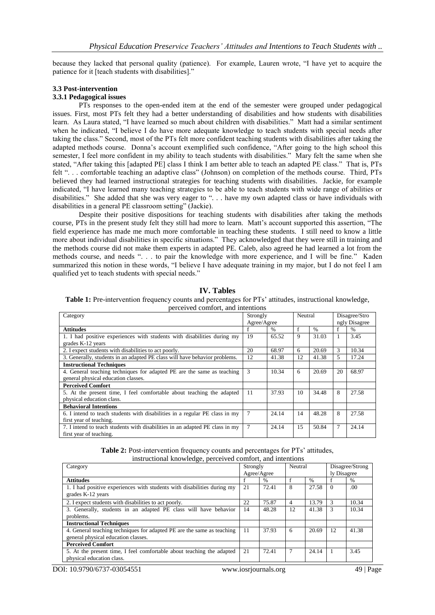because they lacked that personal quality (patience). For example, Lauren wrote, "I have yet to acquire the patience for it [teach students with disabilities]."

#### **3.3 Post-intervention**

## **3.3.1 Pedagogical issues**

PTs responses to the open-ended item at the end of the semester were grouped under pedagogical issues. First, most PTs felt they had a better understanding of disabilities and how students with disabilities learn. As Laura stated, "I have learned so much about children with disabilities." Matt had a similar sentiment when he indicated, "I believe I do have more adequate knowledge to teach students with special needs after taking the class.‖ Second, most of the PTs felt more confident teaching students with disabilities after taking the adapted methods course. Donna's account exemplified such confidence, "After going to the high school this semester, I feel more confident in my ability to teach students with disabilities." Mary felt the same when she stated, "After taking this [adapted PE] class I think I am better able to teach an adapted PE class." That is, PTs felt "... comfortable teaching an adaptive class" (Johnson) on completion of the methods course. Third, PTs believed they had learned instructional strategies for teaching students with disabilities. Jackie, for example indicated, "I have learned many teaching strategies to be able to teach students with wide range of abilities or disabilities." She added that she was very eager to ". . . have my own adapted class or have individuals with disabilities in a general PE classroom setting" (Jackie).

Despite their positive dispositions for teaching students with disabilities after taking the methods course, PTs in the present study felt they still had more to learn. Matt's account supported this assertion, "The field experience has made me much more comfortable in teaching these students. I still need to know a little more about individual disabilities in specific situations." They acknowledged that they were still in training and the methods course did not make them experts in adapted PE. Caleb, also agreed he had learned a lot from the methods course, and needs ". . . to pair the knowledge with more experience, and I will be fine." Kaden summarized this notion in these words, "I believe I have adequate training in my major, but I do not feel I am qualified yet to teach students with special needs."

| Category                                                                     | Strongly        |               | Neutral |               | Disagree/Stro |       |  |  |
|------------------------------------------------------------------------------|-----------------|---------------|---------|---------------|---------------|-------|--|--|
|                                                                              | Agree/Agree     |               |         |               | ngly Disagree |       |  |  |
| <b>Attitudes</b>                                                             |                 | $\frac{0}{0}$ | f       | $\frac{0}{0}$ |               | $\%$  |  |  |
| 1. I had positive experiences with students with disabilities during my      | 19              | 65.52         | 9       | 31.03         |               | 3.45  |  |  |
| grades K-12 years                                                            |                 |               |         |               |               |       |  |  |
| 2. I expect students with disabilities to act poorly.                        | 20              | 68.97         | 6       | 20.69         | 3             | 10.34 |  |  |
| 3. Generally, students in an adapted PE class will have behavior problems.   | 12              | 41.38         | 12      | 41.38         | 5             | 17.24 |  |  |
| <b>Instructional Techniques</b>                                              |                 |               |         |               |               |       |  |  |
| 4. General teaching techniques for adapted PE are the same as teaching       | 3               | 10.34         | 6       | 20.69         | 20            | 68.97 |  |  |
| general physical education classes.                                          |                 |               |         |               |               |       |  |  |
| <b>Perceived Comfort</b>                                                     |                 |               |         |               |               |       |  |  |
| 5. At the present time, I feel comfortable about teaching the adapted        | 11              | 37.93         | 10      | 34.48         | 8             | 27.58 |  |  |
| physical education class.                                                    |                 |               |         |               |               |       |  |  |
| <b>Behavioral Intentions</b>                                                 |                 |               |         |               |               |       |  |  |
| 6. I intend to teach students with disabilities in a regular PE class in my  | $7\phantom{.0}$ | 24.14         | 14      | 48.28         | 8             | 27.58 |  |  |
| first year of teaching.                                                      |                 |               |         |               |               |       |  |  |
| 7. I intend to teach students with disabilities in an adapted PE class in my | $\overline{7}$  | 24.14         | 15      | 50.84         | 7             | 24.14 |  |  |
| first year of teaching.                                                      |                 |               |         |               |               |       |  |  |

#### **IV. Tables**

**Table 1:** Pre-intervention frequency counts and percentages for PTs' attitudes, instructional knowledge, perceived comfort, and intentions

**Table 2:** Post-intervention frequency counts and percentages for PTs' attitudes, instructional knowledge, perceived comfort, and intentions

| Category                                                                                     | Strongly    |       | Neutral |               | Disagree/Strong |       |
|----------------------------------------------------------------------------------------------|-------------|-------|---------|---------------|-----------------|-------|
|                                                                                              | Agree/Agree |       |         |               | ly Disagree     |       |
| <b>Attitudes</b>                                                                             |             | $\%$  |         | $\frac{0}{0}$ |                 | $\%$  |
| 1. I had positive experiences with students with disabilities during my<br>grades K-12 years | 21          | 72.41 | 8       | 27.58         |                 | .00   |
|                                                                                              |             |       |         |               |                 |       |
| 2. I expect students with disabilities to act poorly.                                        | 22          | 75.87 | 4       | 13.79         | 3               | 10.34 |
| 3. Generally, students in an adapted PE class will have behavior                             | 14          | 48.28 | 12      | 41.38         | 3               | 10.34 |
| problems.                                                                                    |             |       |         |               |                 |       |
| <b>Instructional Techniques</b>                                                              |             |       |         |               |                 |       |
| 4. General teaching techniques for adapted PE are the same as teaching                       | 11          | 37.93 | 6       | 20.69         | 12              | 41.38 |
| general physical education classes.                                                          |             |       |         |               |                 |       |
| <b>Perceived Comfort</b>                                                                     |             |       |         |               |                 |       |
| 5. At the present time, I feel comfortable about teaching the adapted                        | 21          | 72.41 |         | 24.14         |                 | 3.45  |
| physical education class.                                                                    |             |       |         |               |                 |       |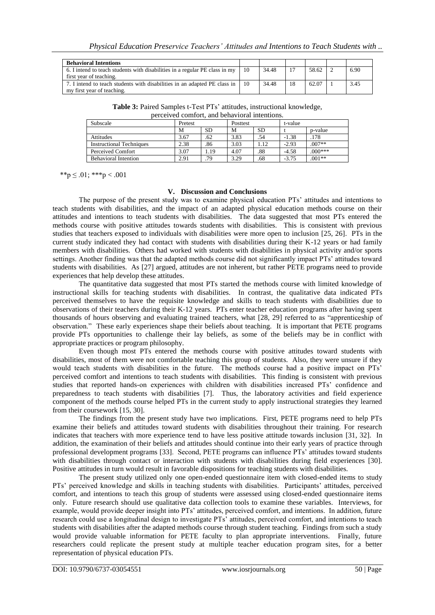| <b>Behavioral Intentions</b>                                                 |    |       |    |       |      |
|------------------------------------------------------------------------------|----|-------|----|-------|------|
| 6. I intend to teach students with disabilities in a regular PE class in my  | 10 | 34.48 |    | 58.62 | 6.90 |
| first year of teaching.                                                      |    |       |    |       |      |
| 7. I intend to teach students with disabilities in an adapted PE class in 10 |    | 34.48 | 18 | 62.07 | 3.45 |
| my first year of teaching.                                                   |    |       |    |       |      |

**Table 3:** Paired Samples t-Test PTs' attitudes, instructional knowledge, perceived comfort, and behavioral intentions.

| Subscale                        | Pretest | Posttest |      | t-value   |         |           |
|---------------------------------|---------|----------|------|-----------|---------|-----------|
|                                 | M       | SD       | M    | <b>SD</b> |         | p-value   |
| <b>Attitudes</b>                | 3.67    | .62      | 3.83 | .54       | $-1.38$ | .178      |
| <b>Instructional Techniques</b> | 2.38    | .86      | 3.03 | 1.12      | $-2.93$ | $.007**$  |
| Perceived Comfort               | 3.07    | 1.19     | 4.07 | .88       | $-4.58$ | $.000***$ |
| <b>Behavioral Intention</b>     | 2.91    | 79       | 3.29 | .68       | $-3.75$ | $.001**$  |

\*\*p  $\leq .01$ ; \*\*\*p  $< .001$ 

#### **V. Discussion and Conclusions**

The purpose of the present study was to examine physical education PTs' attitudes and intentions to teach students with disabilities, and the impact of an adapted physical education methods course on their attitudes and intentions to teach students with disabilities. The data suggested that most PTs entered the methods course with positive attitudes towards students with disabilities. This is consistent with previous studies that teachers exposed to individuals with disabilities were more open to inclusion [25, 26]. PTs in the current study indicated they had contact with students with disabilities during their K-12 years or had family members with disabilities. Others had worked with students with disabilities in physical activity and/or sports settings. Another finding was that the adapted methods course did not significantly impact PTs' attitudes toward students with disabilities. As [27] argued, attitudes are not inherent, but rather PETE programs need to provide experiences that help develop these attitudes.

The quantitative data suggested that most PTs started the methods course with limited knowledge of instructional skills for teaching students with disabilities. In contrast, the qualitative data indicated PTs perceived themselves to have the requisite knowledge and skills to teach students with disabilities due to observations of their teachers during their K-12 years. PTs enter teacher education programs after having spent thousands of hours observing and evaluating trained teachers, what [28, 29] referred to as "apprenticeship of observation.‖ These early experiences shape their beliefs about teaching. It is important that PETE programs provide PTs opportunities to challenge their lay beliefs, as some of the beliefs may be in conflict with appropriate practices or program philosophy.

Even though most PTs entered the methods course with positive attitudes toward students with disabilities, most of them were not comfortable teaching this group of students. Also, they were unsure if they would teach students with disabilities in the future. The methods course had a positive impact on PTs' perceived comfort and intentions to teach students with disabilities. This finding is consistent with previous studies that reported hands-on experiences with children with disabilities increased PTs' confidence and preparedness to teach students with disabilities [7]. Thus, the laboratory activities and field experience component of the methods course helped PTs in the current study to apply instructional strategies they learned from their coursework [15, 30].

The findings from the present study have two implications. First, PETE programs need to help PTs examine their beliefs and attitudes toward students with disabilities throughout their training. For research indicates that teachers with more experience tend to have less positive attitude towards inclusion [31, 32]. In addition, the examination of their beliefs and attitudes should continue into their early years of practice through professional development programs [33]. Second, PETE programs can influence PTs' attitudes toward students with disabilities through contact or interaction with students with disabilities during field experiences [30]. Positive attitudes in turn would result in favorable dispositions for teaching students with disabilities.

The present study utilized only one open-ended questionnaire item with closed-ended items to study PTs' perceived knowledge and skills in teaching students with disabilities. Participants' attitudes, perceived comfort, and intentions to teach this group of students were assessed using closed-ended questionnaire items only. Future research should use qualitative data collection tools to examine these variables. Interviews, for example, would provide deeper insight into PTs' attitudes, perceived comfort, and intentions. In addition, future research could use a longitudinal design to investigate PTs' attitudes, perceived comfort, and intentions to teach students with disabilities after the adapted methods course through student teaching. Findings from such a study would provide valuable information for PETE faculty to plan appropriate interventions. Finally, future researchers could replicate the present study at multiple teacher education program sites, for a better representation of physical education PTs.